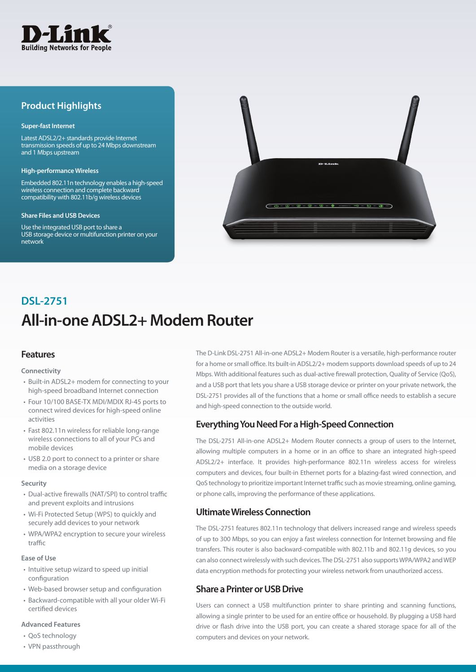

## **Product Highlights**

#### **Super-fast Internet**

Latest ADSL2/2+ standards provide Internet transmission speeds of up to 24 Mbps downstream and 1 Mbps upstream

#### **High-performance Wireless**

Embedded 802.11n technology enables a high-speed wireless connection and complete backward compatibility with 802.11b/g wireless devices

#### **Share Files and USB Devices**

Use the integrated USB port to share a USB storage device or multifunction printer on your network



# **All-in-one ADSL2+ Modem Router DSL-2751**

## **Features**

#### **Connectivity**

- Built-in ADSL2+ modem for connecting to your high-speed broadband Internet connection
- Four 10/100 BASE-TX MDI/MDIX RJ-45 ports to connect wired devices for high-speed online activities
- Fast 802.11n wireless for reliable long-range wireless connections to all of your PCs and mobile devices
- USB 2.0 port to connect to a printer or share media on a storage device

#### **Security**

- Dual-active firewalls (NAT/SPI) to control traffic and prevent exploits and intrusions
- Wi-Fi Protected Setup (WPS) to quickly and securely add devices to your network
- WPA/WPA2 encryption to secure your wireless traffic

#### **Ease of Use**

- Intuitive setup wizard to speed up initial configuration
- Web-based browser setup and configuration
- Backward-compatible with all your older Wi-Fi certified devices

#### **Advanced Features**

- QoS technology
- VPN passthrough

The D-Link DSL-2751 All-in-one ADSL2+ Modem Router is a versatile, high-performance router for a home or small office. Its built-in ADSL2/2+ modem supports download speeds of up to 24 Mbps. With additional features such as dual-active firewall protection, Quality of Service (QoS), and a USB port that lets you share a USB storage device or printer on your private network, the DSL-2751 provides all of the functions that a home or small office needs to establish a secure and high-speed connection to the outside world.

## **Everything You Need For a High-Speed Connection**

The DSL-2751 All-in-one ADSL2+ Modem Router connects a group of users to the Internet, allowing multiple computers in a home or in an office to share an integrated high-speed ADSL2/2+ interface. It provides high-performance 802.11n wireless access for wireless computers and devices, four built-in Ethernet ports for a blazing-fast wired connection, and QoS technology to prioritize important Internet traffic such as movie streaming, online gaming, or phone calls, improving the performance of these applications.

## **Ultimate Wireless Connection**

The DSL-2751 features 802.11n technology that delivers increased range and wireless speeds of up to 300 Mbps, so you can enjoy a fast wireless connection for Internet browsing and file transfers. This router is also backward-compatible with 802.11b and 802.11g devices, so you can also connect wirelessly with such devices. The DSL-2751 also supports WPA/WPA2 and WEP data encryption methods for protecting your wireless network from unauthorized access.

## **Share a Printer or USB Drive**

Users can connect a USB multifunction printer to share printing and scanning functions, allowing a single printer to be used for an entire office or household. By plugging a USB hard drive or flash drive into the USB port, you can create a shared storage space for all of the computers and devices on your network.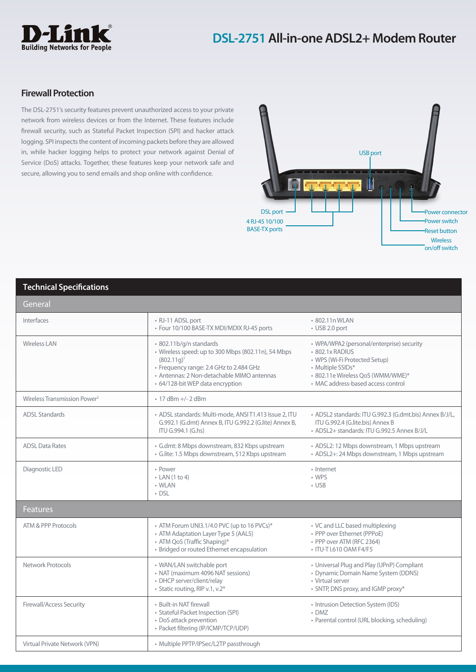

## **Firewall Protection**

The DSL-2751's security features prevent unauthorized access to your private network from wireless devices or from the Internet. These features include firewall security, such as Stateful Packet Inspection (SPI) and hacker attack logging. SPI inspects the content of incoming packets before they are allowed in, while hacker logging helps to protect your network against Denial of Service (DoS) attacks. Together, these features keep your network safe and secure, allowing you to send emails and shop online with confidence.



### **Technical Specifications**

| General                                  |                                                                                                                                                                                                                              |                                                                                                                                                                                               |
|------------------------------------------|------------------------------------------------------------------------------------------------------------------------------------------------------------------------------------------------------------------------------|-----------------------------------------------------------------------------------------------------------------------------------------------------------------------------------------------|
| Interfaces                               | • RJ-11 ADSL port<br>· Four 10/100 BASE-TX MDI/MDIX RJ-45 ports                                                                                                                                                              | • 802.11n WLAN<br>• USB 2.0 port                                                                                                                                                              |
| <b>Wireless LAN</b>                      | · 802.11b/g/n standards<br>· Wireless speed: up to 300 Mbps (802.11n), 54 Mbps<br>$(802.11q)^1$<br>• Frequency range: 2.4 GHz to 2.484 GHz<br>· Antennas: 2 Non-detachable MIMO antennas<br>• 64/128-bit WEP data encryption | • WPA/WPA2 (personal/enterprise) security<br>• 802.1x RADIUS<br>• WPS (Wi-Fi Protected Setup)<br>• Multiple SSIDs*<br>• 802.11e Wireless QoS (WMM/WME)*<br>• MAC address-based access control |
| Wireless Transmission Power <sup>2</sup> | $\cdot$ 17 dBm +/- 2 dBm                                                                                                                                                                                                     |                                                                                                                                                                                               |
| <b>ADSL Standards</b>                    | · ADSL standards: Multi-mode, ANSI T1.413 Issue 2, ITU<br>G.992.1 (G.dmt) Annex B, ITU G.992.2 (G.lite) Annex B,<br>ITU G.994.1 (G.hs)                                                                                       | · ADSL2 standards: ITU G.992.3 (G.dmt.bis) Annex B/J/L,<br>ITU G.992.4 (G.lite.bis) Annex B<br>• ADSL2+ standards: ITU G.992.5 Annex B/J/L                                                    |
| <b>ADSL Data Rates</b>                   | · G.dmt: 8 Mbps downstream, 832 Kbps upstream<br>· G.lite: 1.5 Mbps downstream, 512 Kbps upstream                                                                                                                            | • ADSL2: 12 Mbps downstream, 1 Mbps upstream<br>• ADSL2+: 24 Mbps downstream, 1 Mbps upstream                                                                                                 |
| Diagnostic LED                           | • Power<br>$\cdot$ LAN (1 to 4)<br>• WLAN<br>$\cdot$ DSL                                                                                                                                                                     | • Internet<br>• WPS<br>$\cdot$ USB                                                                                                                                                            |
| <b>Features</b>                          |                                                                                                                                                                                                                              |                                                                                                                                                                                               |
| ATM & PPP Protocols                      | • ATM Forum UNI3.1/4.0 PVC (up to 16 PVCs)*<br>• ATM Adaptation Layer Type 5 (AAL5)<br>• ATM QoS (Traffic Shaping)*<br>· Bridged or routed Ethernet encapsulation                                                            | • VC and LLC based multiplexing<br>• PPP over Ethernet (PPPoE)<br>· PPP over ATM (RFC 2364)<br>• ITU-T I.610 OAM F4/F5                                                                        |
| Network Protocols                        | • WAN/LAN switchable port<br>• NAT (maximum 4096 NAT sessions)<br>• DHCP server/client/relay<br>• Static routing, RIP v.1, v.2*                                                                                              | • Universal Plug and Play (UPnP) Compliant<br>• Dynamic Domain Name System (DDNS)<br>• Virtual server<br>• SNTP, DNS proxy, and IGMP proxy*                                                   |
| <b>Firewall/Access Security</b>          | • Built-in NAT firewall<br>• Stateful Packet Inspection (SPI)<br>• DoS attack prevention<br>• Packet filtering (IP/ICMP/TCP/UDP)                                                                                             | • Intrusion Detection System (IDS)<br>$\cdot$ DMZ<br>• Parental control (URL blocking, scheduling)                                                                                            |
| Virtual Private Network (VPN)            | • Multiple PPTP/IPSec/L2TP passthrough                                                                                                                                                                                       |                                                                                                                                                                                               |